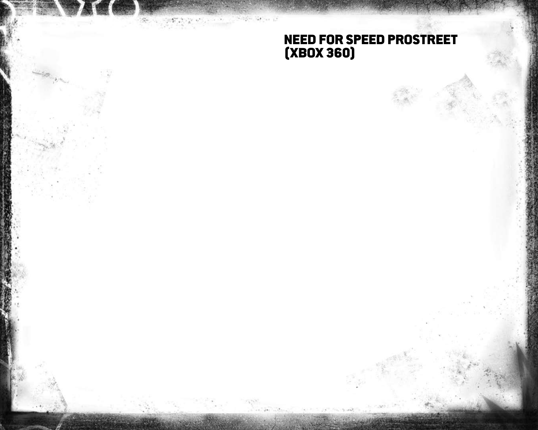# Need for Speed ProStreet (Xbo x 360)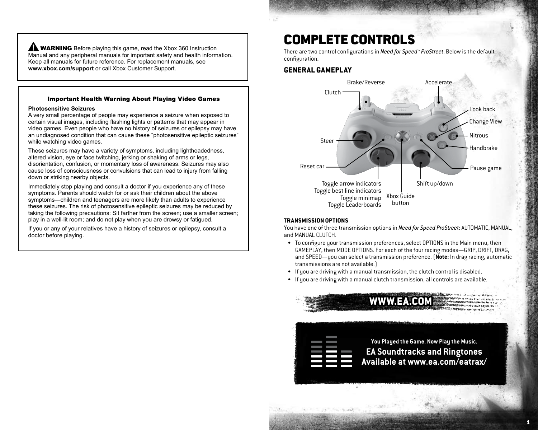**WARNING** Before playing this game, read the Xbox 360 Instruction Manual and any peripheral manuals for important safety and health information. Keep all manuals for future reference. For replacement manuals, see **www.xbox.com/support** or call Xbox Customer Support.

#### Important Health Warning About Playing Video Games

#### **Photosensitive Seizures**

A very small percentage of people may experience a seizure when exposed to certain visual images, including flashing lights or patterns that may appear in video games. Even people who have no history of seizures or epilepsy may have an undiagnosed condition that can cause these "photosensitive epileptic seizures" while watching video games.

These seizures may have a variety of symptoms, including lightheadedness, altered vision, eye or face twitching, jerking or shaking of arms or legs, disorientation, confusion, or momentary loss of awareness. Seizures may also cause loss of consciousness or convulsions that can lead to injury from falling down or striking nearby objects.

Immediately stop playing and consult a doctor if you experience any of these symptoms. Parents should watch for or ask their children about the above symptoms—children and teenagers are more likely than adults to experience these seizures. The risk of photosensitive epileptic seizures may be reduced by taking the following precautions: Sit farther from the screen; use a smaller screen; play in a well-lit room; and do not play when you are drowsy or fatigued.

If you or any of your relatives have a history of seizures or epilepsy, consult a doctor before playing.

# Complete Controls

There are two control configurations in *Need for Speed™ ProStreet*. Below is the default configuration.

## **General Gameplay**



#### **Transmission Options**

You have one of three transmission options in *Need for Speed ProStreet*: AUTOMATIC, MANUAL, and MANUAL CLUTCH.

- To configure your transmission preferences, select OPTIONS in the Main menu, then GAMEPLAY, then MODE OPTIONS. For each of the four racing modes—GRIP, DRIFT, DRAG, and SPEED—you can select a transmission preference. (**Note:** In drag racing, automatic transmissions are not available.)
- If you are driving with a manual transmission, the clutch control is disabled.
- If you are driving with a manual clutch transmission, all controls are available.



1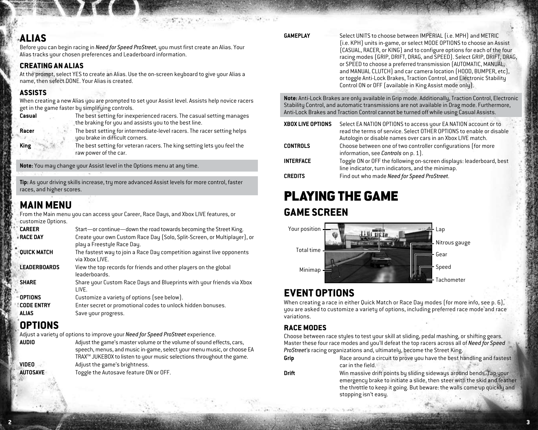# **Alias**

Before you can begin racing in *Need for Speed ProStreet*, you must first create an Alias. Your Alias tracks your chosen preferences and Leaderboard information.

## **Creating an Alias**

At the prompt, select YES to create an Alias. Use the on-screen keyboard to give your Alias a name, then select DONE. Your Alias is created.

# **Assists**

When creating a new Alias you are prompted to set your Assist level. Assists help novice racers get in the game faster by simplifying controls.

|--|

- **Casual** The best setting for inexperienced racers. The casual setting manages the braking for you and assists you to the best line.
- **Racer** The best setting for intermediate-level racers. The racer setting helps you brake in difficult corners.
- **King** The best setting for veteran racers. The king setting lets you feel the raw power of the car.

**Note:** You may change your Assist level in the Options menu at any time.

**Tip:** As your driving skills increase, try more advanced Assist levels for more control, faster races, and higher scores.

# **Main Menu**

From the Main menu you can access your Career, Race Days, and Xbox LIVE features, or customize Options.

| <b>CAREER</b>       | Start-or continue-down the road towards becoming the Street King.                                      |
|---------------------|--------------------------------------------------------------------------------------------------------|
| <b>RACE DAY</b>     | Create your own Custom Race Day (Solo, Split-Screen, or Multiplayer), or<br>play a Freestyle Race Day. |
| <b>QUICK MATCH</b>  | The fastest way to join a Race Day competition against live opponents<br>via Xbox LIVE.                |
| <b>LEADERBOARDS</b> | View the top records for friends and other players on the global<br>leaderboards.                      |
| <b>SHARE</b>        | Share your Custom Race Days and Blueprints with your friends via Xbox<br>LIVE.                         |
| <b>OPTIONS</b>      | Customize a variety of options (see below).                                                            |
| <b>CODE ENTRY</b>   | Enter secret or promotional codes to unlock hidden bonuses.                                            |
| <b>ALIAS</b>        | Save your progress.                                                                                    |

# **Options**

Adjust a variety of options to improve your *Need for Speed ProStreet* experience.

**AUDIO** Adjust the game's master volume or the volume of sound effects, cars, speech, menus, and music in-game, select your menu music, or choose EA TRAX<sup>™</sup> JUKEBOX to listen to your music selections throughout the game. **VIDEO** Adjust the game's brightness.

AUTOSAVE Toggle the Autosave feature ON or OFF.

**GAMEPLAY** Select UNITS to choose between IMPERIAL (i.e. MPH) and METRIC (i.e. KPH) units in-game, or select MODE OPTIONS to choose an Assist (CASUAL, RACER, or KING) and to configure options for each of the four racing modes (GRIP, DRIFT, DRAG, and SPEED). Select GRIP, DRIFT, DRAG, or SPEED to choose a preferred transmission (AUTOMATIC, MANUAL, and MANUAL CLUTCH) and car camera location (HOOD, BUMPER, etc), or toggle Anti-Lock Brakes, Traction Control, and Electronic Stability Control ON or OFF (available in King Assist mode only).

**Note:** Anti-Lock Brakes are only available in Grip mode. Additionally, Traction Control, Electronic Stability Control, and automatic transmissions are not available in Drag mode. Furthermore, Anti-Lock Brakes and Traction Control cannot be turned off while using Casual Assists.

| <b>XBOX LIVE OPTIONS</b> | Select EA NATION OPTIONS to access your EA NATION account or to<br>read the terms of service. Select OTHER OPTIONS to enable or disable<br>Autologin or disable names over cars in an Xbox LIVE match. |
|--------------------------|--------------------------------------------------------------------------------------------------------------------------------------------------------------------------------------------------------|
| <b>CONTROLS</b>          | Choose between one of two controller configurations (for more<br>information, see Controls on p. 1].                                                                                                   |
| <b>INTERFACE</b>         | Toggle ON or OFF the following on-screen displays: leaderboard, best<br>line indicator, turn indicators, and the minimap.                                                                              |
| <b>CREDITS</b>           | Find out who made Need for Speed ProStreet.                                                                                                                                                            |

# Playing the Game **Game Screen**



# **Event Options**

When creating a race in either Quick Match or Race Day modes (for more info, see p. 6), you are asked to customize a variety of options, including preferred race mode and race variations.

# **Race Modes**

Choose between race styles to test your skill at sliding, pedal mashing, or shifting gears. Master these four race modes and you'll defeat the top racers across all of *Need for Speed ProStreet's* racing organizations and, ultimately, become the Street King.

**Grip** Race around a circuit to prove you have the best handling and fastest car in the field.

**Drift** Win massive drift points by sliding sideways around bends. Tap your emergency brake to initiate a slide, then steer with the skid and feather the throttle to keep it going. But beware: the walls come up quickly and stopping isn't easy.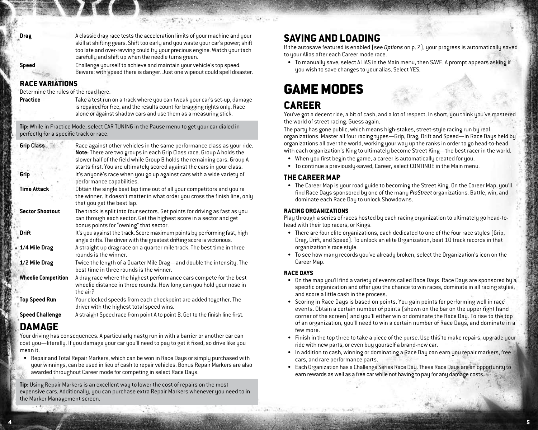-Toon Child

**Speed** Challenge yourself to achieve and maintain your vehicle's top speed. Beware: with speed there is danger. Just one wipeout could spell disaster.

# **Race Variations**

Determine the rules of the road here.

**Practice** Take a test run on a track where you can tweak your car's set-up, damage is repaired for free, and the results count for bragging rights only. Race alone or against shadow cars and use them as a measuring stick.

**Tip:** While in Practice Mode, select CAR TUNING in the Pause menu to get your car dialed in perfectly for a specific track or race.

| Grip Class                 | Race against other vehicles in the same performance class as your ride.<br>Note: There are two groups in each Grip Class race. Group A holds the<br>slower half of the field while Group B holds the remaining cars. Group A<br>starts first. You are ultimately scored against the cars in your class. |
|----------------------------|---------------------------------------------------------------------------------------------------------------------------------------------------------------------------------------------------------------------------------------------------------------------------------------------------------|
| Grip                       | It's anyone's race when you go up against cars with a wide variety of<br>performance capabilities.                                                                                                                                                                                                      |
| <b>Time Attack</b>         | Obtain the single best lap time out of all your competitors and you're<br>the winner. It doesn't matter in what order you cross the finish line, only<br>that you get the best lap.                                                                                                                     |
| <b>Sector Shootout</b>     | The track is split into four sectors. Get points for driving as fast as you<br>can through each sector. Get the highest score in a sector and get<br>bonus points for "owning" that sector.                                                                                                             |
| Drift                      | It's you against the track. Score maximum points by performing fast, high<br>angle drifts. The driver with the greatest drifting score is victorious.                                                                                                                                                   |
| * 1/4 Mile Drag            | A straight up drag race on a quarter mile track. The best time in three<br>rounds is the winner.                                                                                                                                                                                                        |
| 1/2 Mile Drag              | Twice the length of a Quarter Mile Drag—and double the intensity. The<br>best time in three rounds is the winner.                                                                                                                                                                                       |
| <b>Wheelie Competition</b> | A drag race where the highest performance cars compete for the best<br>wheelie distance in three rounds. How long can you hold your nose in<br>the air?                                                                                                                                                 |
| <b>Top Speed Run</b>       | Your clocked speeds from each checkpoint are added together. The<br>driver with the highest total speed wins.                                                                                                                                                                                           |
| <b>Speed Challenge</b>     | A straight Speed race from point A to point B. Get to the finish line first.                                                                                                                                                                                                                            |

# **Damage**

Your driving has consequences. A particularly nasty run in with a barrier or another car can cost you—literally. If you damage your car you'll need to pay to get it fixed, so drive like you mean it.

Repair and Total Repair Markers, which can be won in Race Days or simply purchased with your winnings, can be used in lieu of cash to repair vehicles. Bonus Repair Markers are also awarded throughout Career mode for competing in select Race Days. •

**Tip:** Using Repair Markers is an excellent way to lower the cost of repairs on the most expensive cars. Additionally, you can purchase extra Repair Markers whenever you need to in the Marker Management screen.

# **Saving and Loading**

If the autosave featured is enabled (see *Options* on p. 2), your progress is automatically saved to your Alias after each Career mode race.

To manually save, select ALIAS in the Main menu, then SAVE. A prompt appears asking if • you wish to save changes to your alias. Select YES.

# Game Modes

# **Career**

You've got a decent ride, a bit of cash, and a lot of respect. In short, you think you've mastered the world of street racing. Guess again.

The party has gone public, which means high-stakes, street-style racing run by real organizations. Master all four racing tupes—Grip, Drag, Drift and Speed—in Race Daus held by organizations all over the world, working your way up the ranks in order to go head-to-head with each organization's King to ultimately become Street King—the best racer in the world.

- When you first begin the game, a career is automatically created for you. •
- To continue a previously-saved, Career, select CONTINUE in the Main menu. •

# **The Career Map**

The Career Map is your road guide to becoming the Street King. On the Career Map, you'll • find Race Days sponsored by one of the many *ProStreet* organizations. Battle, win, and dominate each Race Day to unlock Showdowns.

### **Racing Organizations**

Play through a series of races hosted by each racing organization to ultimately go head-tohead with their top racers, or Kings.

- There are four elite organizations, each dedicated to one of the four race styles (Grip, Drag, Drift, and Speed). To unlock an elite Organization, beat 10 track records in that organization's race style.
- To see how many records you've already broken, select the Organization's icon on the Career Map.

### **Race Days**

 $\overline{a}$  , and  $\overline{a}$  , and  $\overline{a}$  , and  $\overline{a}$  , and  $\overline{a}$  , and  $\overline{a}$  , and  $\overline{a}$  ,  $\overline{a}$  ,  $\overline{a}$  ,  $\overline{a}$  ,  $\overline{a}$  ,  $\overline{a}$  ,  $\overline{a}$  ,  $\overline{a}$  ,  $\overline{a}$  ,  $\overline{a}$  ,  $\overline{a}$  ,  $\overline{a}$  ,

- On the map you'll find a variety of events called Race Days. Race Days are sponsored by a specific organization and offer you the chance to win races, dominate in all racing styles, and score a little cash in the process.
- Scoring in Race Days is based on points. You gain points for performing well in race events. Obtain a certain number of points (shown on the bar on the upper right hand corner of the screen) and you'll either win or dominate the Race Day. To rise to the top of an organization, you'll need to win a certain number of Race Days, and dominate in a few more.
- Finish in the top three to take a piece of the purse. Use this to make repairs, upgrade your ride with new parts, or even buy yourself a brand-new car.
- In addition to cash, winning or dominating a Race Day can earn you repair markers, free cars, and rare performance parts.
- Each Organization has a Challenge Series Race Day. These Race Days are an opportunity to •earn rewards as well as a free car while not having to pay for any damage costs.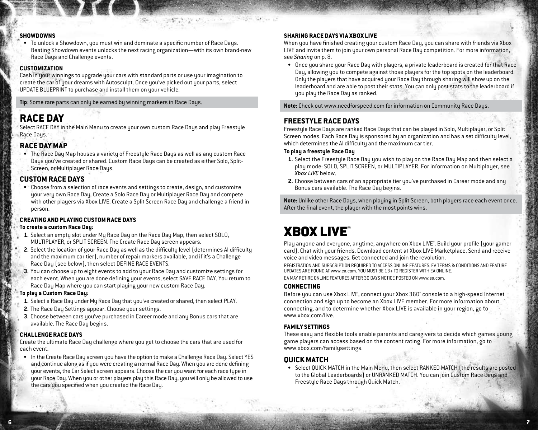#### **Showdowns**

To unlock a Showdown, you must win and dominate a specific number of Race Days. • Beating Showdown events unlocks the next racing organization—with its own brand-new Race Days and Challenge events.

#### **Customization**

Cash in your winnings to upgrade your cars with standard parts or use your imagination to create the car of your dreams with Autosculpt. Once you've picked out your parts, select UPDATE BLUEPRINT to purchase and install them on your vehicle.

**Tip**: Some rare parts can only be earned by winning markers in Race Days.

# **Race Day**

Select RACE DAY in the Main Menu to create your own custom Race Days and play Freestyle Race Days.

## **Race Day Map**

The Race Day Map houses a variety of Freestyle Race Days as well as any custom Race • Days you've created or shared. Custom Race Days can be created as either Solo, Split-Screen, or Multiplayer Race Days.

## **Custom Race Days**

Choose from a selection of race events and settings to create, design, and customize • your very own Race Day. Create a Solo Race Day or Multiplayer Race Day and compete with other players via Xbox LIVE. Create a Split Screen Race Day and challenge a friend in person.

### **Creating and Playing Custom Race Days**

#### **To create a custom Race Day:**

- **1.** Select an empty slot under My Race Day on the Race Day Map, then select SOLO, MULTIPLAYER, or SPLIT SCREEN. The Create Race Day screen appears.
- **2.** Select the location of your Race Day as well as the difficulty level (determines AI difficulty and the maximum car tier), number of repair markers available, and if it's a Challenge Race Day (see below), then select DEFINE RACE EVENTS.
- **3.** You can choose up to eight events to add to your Race Day and customize settings for each event. When you are done defining your events, select SAVE RACE DAY. You return to Race Day Map where you can start playing your new custom Race Day.

## **To play a Custom Race Day:**

- **1.** Select a Race Day under My Race Day that you've created or shared, then select PLAY.
- **2.** The Race Day Settings appear. Choose your settings.
- **3.** Choose between cars you've purchased in Career mode and any Bonus cars that are available. The Race Day begins.

#### **Challenge Race Days**

Create the ultimate Race Day challenge where you get to choose the cars that are used for each event.

• In the Create Race Day screen you have the option to make a Challenge Race Day. Select YES and continue along as if you were creating a normal Race Day. When you are done defining your events, the Car Select screen appears. Choose the car you want for each race type in your Race Day. When you or other players play this Race Day, you will only be allowed to use the cars you specified when you created the Race Day.

## **Sharing Race Days via Xbox LIVE**

When you have finished creating your custom Race Day, you can share with friends via Xbox LIVE and invite them to join your own personal Race Day competition. For more information, see *Sharing* on p. 8.

Once you share your Race Day with players, a private leaderboard is created for that Race • Day, allowing you to compete against those players for the top spots on the leaderboard. Only the players that have acquired your Race Day through sharing will show up on the leaderboard and are able to post their stats. You can only post stats to the leaderboard if you play the Race Day as ranked.

**Note:** Check out www.needforspeed.com for information on Community Race Days.

# **Freestyle Race Days**

Freestyle Race Days are ranked Race Days that can be played in Solo, Multiplayer, or Split Screen modes. Each Race Day is sponsored by an organization and has a set difficulty level, which determines the AI difficulty and the maximum car tier.

### **To play a freestyle Race Day**

- **1.** Select the Freestyle Race Day you wish to play on the Race Day Map and then select a play mode: SOLO, SPLIT SCREEN, or MULTIPLAYER. For information on Multiplayer, see *Xbox LIVE* below.
- **2.** Choose between cars of an appropriate tier you've purchased in Career mode and any Bonus cars available. The Race Day begins.

**Note:** Unlike other Race Days, when playing in Split Screen, both players race each event once. After the final event, the player with the most points wins.

# **XBOX LIVE®**

Play anyone and everyone, anytime, anywhere on Xbox LIVE®. Build your profile (your gamer card). Chat with your friends. Download content at Xbox LIVE Marketplace. Send and receive voice and video messages. Get connected and join the revolution.

REGISTRATION AND SUBSCRIPTION REQUIRED TO ACCESS ONLINE FEATURES. EA TERMS & CONDITIONS AND FEATURE UPDATES ARE FOUND AT www.ea.com. YOU MUST BE 13+ TO REGISTER WITH EA ONLINE.

EA MAY RETIRE ONLINE FEATURES AFTER 30 DAYS NOTICE POSTED ON www.ea.com.

#### **Connecting**

Before you can use Xbox LIVE, connect your Xbox 360® console to a high-speed Internet connection and sign up to become an Xbox LIVE member. For more information about connecting, and to determine whether Xbox LIVE is available in your region, go to www.xbox.com/live.

#### **Family Settings**

These easy and flexible tools enable parents and caregivers to decide which games young game players can access based on the content rating. For more information, go to www.xbox.com/familysettings.

### **Quick Match**

 $\overline{\phantom{a}}$  , and the set of the set of the set of the set of the set of the set of the set of the set of the set of the set of the set of the set of the set of the set of the set of the set of the set of the set of the s

• Select QUICK MATCH in the Main Menu, then select RANKED MATCH (the results are posted to the Global Leaderboards) or UNRANKED MATCH. You can join Custom Race Days and Freestyle Race Days through Quick Match.